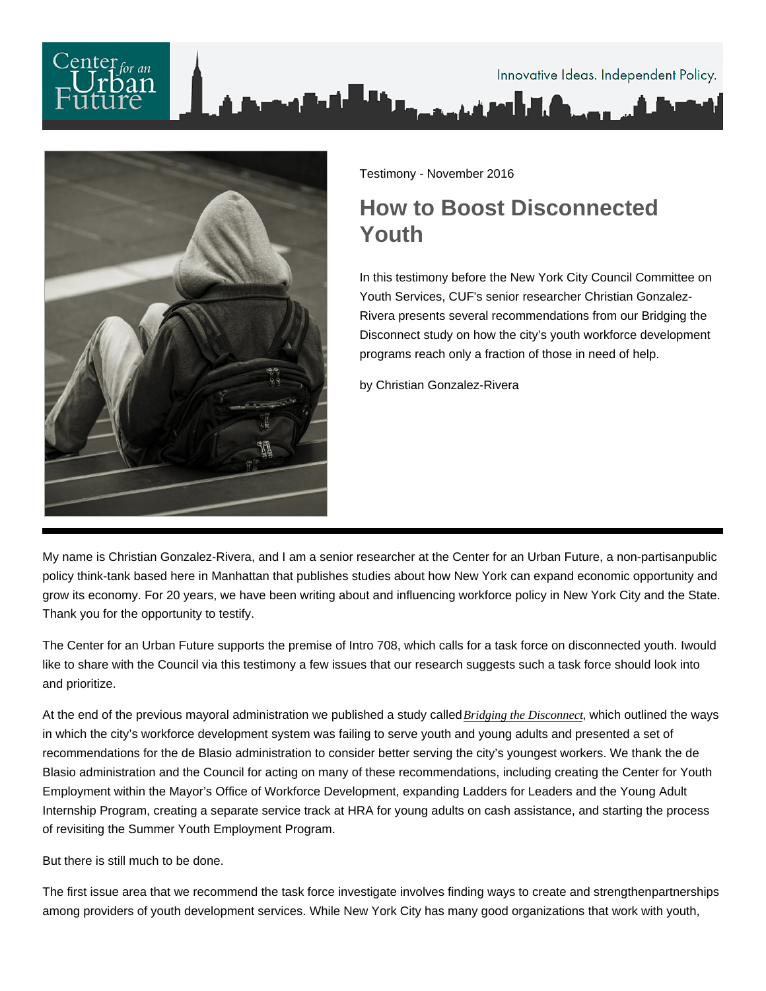

Testimony - November 2016

## How to Boost Disconnected Youth

In this testimony before the New York City Council Committee on Youth Services, CUF's senior researcher Christian Gonzalez-Rivera presents several recommendations from our Bridging the Disconnect study on how the city's youth workforce development programs reach only a fraction of those in need of help.

by Christian Gonzalez-Rivera

My name is Christian Gonzalez-Rivera, and I am a senior researcher at the Center for an Urban Future, a non-partisanpublic policy think-tank based here in Manhattan that publishes studies about how New York can expand economic opportunity and grow its economy. For 20 years, we have been writing about and influencing workforce policy in New York City and the State. Thank you for the opportunity to testify.

The Center for an Urban Future supports the premise of Intro 708, which calls for a task force on disconnected youth. I would like to share with the Council via this testimony a few issues that our research suggests such a task force should look into and prioritize.

At the end of the previous mayoral administration we published a study called [Bridging the Disconne](https://nycfuture.org/research/bridging-the-disconnect)ct which outlined the ways in which the city's workforce development system was failing to serve youth and young adults and presented a set of recommendations for the de Blasio administration to consider better serving the city's youngest workers. We thank the de Blasio administration and the Council for acting on many of these recommendations, including creating the Center for Youth Employment within the Mayor's Office of Workforce Development, expanding Ladders for Leaders and the Young Adult Internship Program, creating a separate service track at HRA for young adults on cash assistance, and starting the process of revisiting the Summer Youth Employment Program.

But there is still much to be done.

The first issue area that we recommend the task force investigate involves finding ways to create and strengthen partnerships among providers of youth development services. While New York City has many good organizations that work with youth,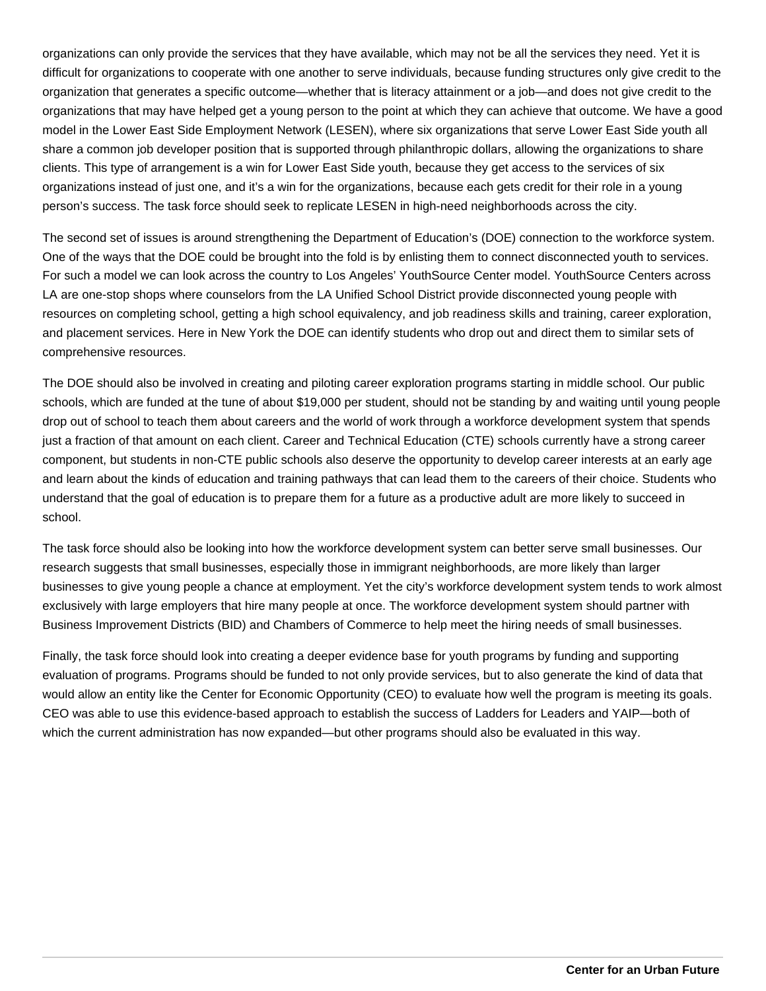organizations can only provide the services that they have available, which may not be all the services they need. Yet it is difficult for organizations to cooperate with one another to serve individuals, because funding structures only give credit to the organization that generates a specific outcome—whether that is literacy attainment or a job—and does not give credit to the organizations that may have helped get a young person to the point at which they can achieve that outcome. We have a good model in the Lower East Side Employment Network (LESEN), where six organizations that serve Lower East Side youth all share a common job developer position that is supported through philanthropic dollars, allowing the organizations to share clients. This type of arrangement is a win for Lower East Side youth, because they get access to the services of six organizations instead of just one, and it's a win for the organizations, because each gets credit for their role in a young person's success. The task force should seek to replicate LESEN in high-need neighborhoods across the city.

The second set of issues is around strengthening the Department of Education's (DOE) connection to the workforce system. One of the ways that the DOE could be brought into the fold is by enlisting them to connect disconnected youth to services. For such a model we can look across the country to Los Angeles' YouthSource Center model. YouthSource Centers across LA are one-stop shops where counselors from the LA Unified School District provide disconnected young people with resources on completing school, getting a high school equivalency, and job readiness skills and training, career exploration, and placement services. Here in New York the DOE can identify students who drop out and direct them to similar sets of comprehensive resources.

The DOE should also be involved in creating and piloting career exploration programs starting in middle school. Our public schools, which are funded at the tune of about \$19,000 per student, should not be standing by and waiting until young people drop out of school to teach them about careers and the world of work through a workforce development system that spends just a fraction of that amount on each client. Career and Technical Education (CTE) schools currently have a strong career component, but students in non-CTE public schools also deserve the opportunity to develop career interests at an early age and learn about the kinds of education and training pathways that can lead them to the careers of their choice. Students who understand that the goal of education is to prepare them for a future as a productive adult are more likely to succeed in school.

The task force should also be looking into how the workforce development system can better serve small businesses. Our research suggests that small businesses, especially those in immigrant neighborhoods, are more likely than larger businesses to give young people a chance at employment. Yet the city's workforce development system tends to work almost exclusively with large employers that hire many people at once. The workforce development system should partner with Business Improvement Districts (BID) and Chambers of Commerce to help meet the hiring needs of small businesses.

Finally, the task force should look into creating a deeper evidence base for youth programs by funding and supporting evaluation of programs. Programs should be funded to not only provide services, but to also generate the kind of data that would allow an entity like the Center for Economic Opportunity (CEO) to evaluate how well the program is meeting its goals. CEO was able to use this evidence-based approach to establish the success of Ladders for Leaders and YAIP—both of which the current administration has now expanded—but other programs should also be evaluated in this way.